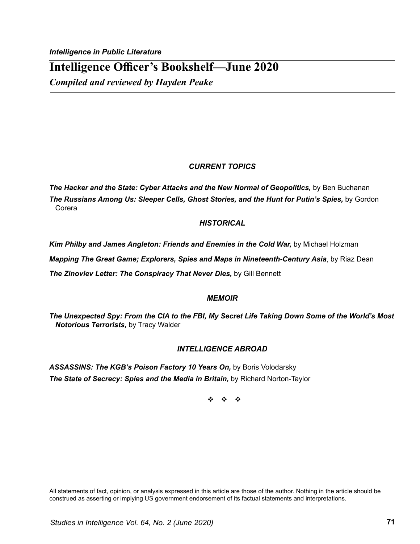# **Intelligence Officer's Bookshelf—June 2020**

*Compiled and reviewed by Hayden Peake*

## *CURRENT TOPICS*

*The Hacker and the State: Cyber Attacks and the New Normal of Geopolitics,* by Ben Buchanan **The Russians Among Us: Sleeper Cells, Ghost Stories, and the Hunt for Putin's Spies, by Gordon** Corera

### *HISTORICAL*

Kim Philby and James Angleton: Friends and Enemies in the Cold War, by Michael Holzman

*Mapping The Great Game; Explorers, Spies and Maps in Nineteenth-Century Asia*, by Riaz Dean

*The Zinoviev Letter: The Conspiracy That Never Dies, by Gill Bennett* 

### *MEMOIR*

*The Unexpected Spy: From the CIA to the FBI, My Secret Life Taking Down Some of the World's Most Notorious Terrorists,* by Tracy Walder

# *INTELLIGENCE ABROAD*

ASSASSINS: The KGB's Poison Factory 10 Years On, by Boris Volodarsky **The State of Secrecy: Spies and the Media in Britain, by Richard Norton-Taylor** 

v v v

All statements of fact, opinion, or analysis expressed in this article are those of the author. Nothing in the article should be construed as asserting or implying US government endorsement of its factual statements and interpretations.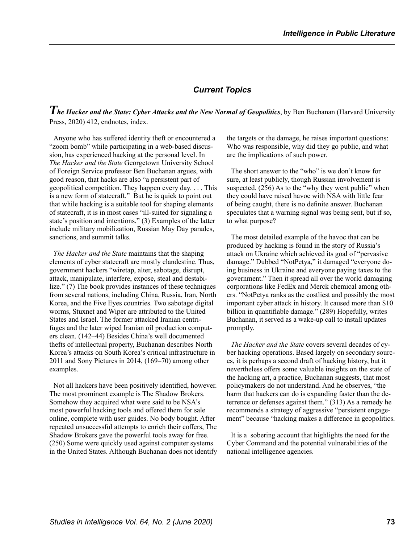#### *Current Topics*

*The Hacker and the State: Cyber Attacks and the New Normal of Geopolitics*, by Ben Buchanan (Harvard University Press, 2020) 412, endnotes, index.

Anyone who has suffered identity theft or encountered a "zoom bomb" while participating in a web-based discussion, has experienced hacking at the personal level. In *The Hacker and the State* Georgetown University School of Foreign Service professor Ben Buchanan argues, with good reason, that hacks are also "a persistent part of geopolitical competition. They happen every day. . . . This is a new form of statecraft." But he is quick to point out that while hacking is a suitable tool for shaping elements of statecraft, it is in most cases "ill-suited for signaling a state's position and intentions." (3) Examples of the latter include military mobilization, Russian May Day parades, sanctions, and summit talks.

*The Hacker and the State* maintains that the shaping elements of cyber statecraft are mostly clandestine. Thus, government hackers "wiretap, alter, sabotage, disrupt, attack, manipulate, interfere, expose, steal and destabilize." (7) The book provides instances of these techniques from several nations, including China, Russia, Iran, North Korea, and the Five Eyes countries. Two sabotage digital worms, Stuxnet and Wiper are attributed to the United States and Israel. The former attacked Iranian centrifuges and the later wiped Iranian oil production computers clean. (142–44) Besides China's well documented thefts of intellectual property, Buchanan describes North Korea's attacks on South Korea's critical infrastructure in 2011 and Sony Pictures in 2014, (169–70) among other examples.

Not all hackers have been positively identified, however. The most prominent example is The Shadow Brokers. Somehow they acquired what were said to be NSA's most powerful hacking tools and offered them for sale online, complete with user guides. No body bought. After repeated unsuccessful attempts to enrich their coffers, The Shadow Brokers gave the powerful tools away for free. (250) Some were quickly used against computer systems in the United States. Although Buchanan does not identify the targets or the damage, he raises important questions: Who was responsible, why did they go public, and what are the implications of such power.

The short answer to the "who" is we don't know for sure, at least publicly, though Russian involvement is suspected. (256) As to the "why they went public" when they could have raised havoc with NSA with little fear of being caught, there is no definite answer. Buchanan speculates that a warning signal was being sent, but if so, to what purpose?

The most detailed example of the havoc that can be produced by hacking is found in the story of Russia's attack on Ukraine which achieved its goal of "pervasive damage." Dubbed "NotPetya," it damaged "everyone doing business in Ukraine and everyone paying taxes to the government." Then it spread all over the world damaging corporations like FedEx and Merck chemical among others. "NotPetya ranks as the costliest and possibly the most important cyber attack in history. It caused more than \$10 billion in quantifiable damage." (289) Hopefully, writes Buchanan, it served as a wake-up call to install updates promptly.

*The Hacker and the State* covers several decades of cyber hacking operations. Based largely on secondary sources, it is perhaps a second draft of hacking history, but it nevertheless offers some valuable insights on the state of the hacking art, a practice, Buchanan suggests, that most policymakers do not understand. And he observes, "the harm that hackers can do is expanding faster than the deterrence or defenses against them." (313) As a remedy he recommends a strategy of aggressive "persistent engagement" because "hacking makes a difference in geopolitics.

It is a sobering account that highlights the need for the Cyber Command and the potential vulnerabilities of the national intelligence agencies.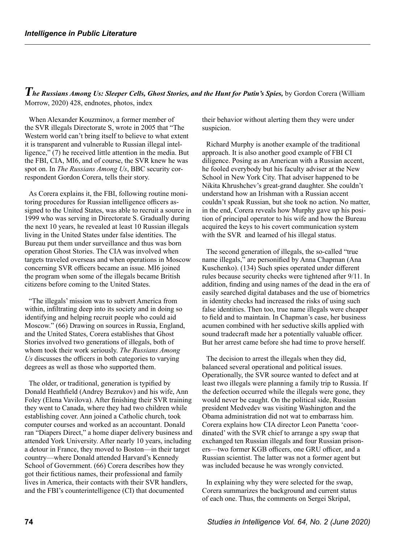*The Russians Among Us: Sleeper Cells, Ghost Stories, and the Hunt for Putin's Spies,* by Gordon Corera (William Morrow, 2020) 428, endnotes, photos, index

When Alexander Kouzminov, a former member of the SVR illegals Directorate S, wrote in 2005 that "The Western world can't bring itself to believe to what extent it is transparent and vulnerable to Russian illegal intelligence," (7) he received little attention in the media. But the FBI, CIA, MI6, and of course, the SVR knew he was spot on. In *The Russians Among Us*, BBC security correspondent Gordon Corera, tells their story.

As Corera explains it, the FBI, following routine monitoring procedures for Russian intelligence officers assigned to the United States, was able to recruit a source in 1999 who was serving in Directorate S. Gradually during the next 10 years, he revealed at least 10 Russian illegals living in the United States under false identities. The Bureau put them under surveillance and thus was born operation Ghost Stories. The CIA was involved when targets traveled overseas and when operations in Moscow concerning SVR officers became an issue. MI6 joined the program when some of the illegals became British citizens before coming to the United States.

"The illegals' mission was to subvert America from within, infiltrating deep into its society and in doing so identifying and helping recruit people who could aid Moscow." (66) Drawing on sources in Russia, England, and the United States, Corera establishes that Ghost Stories involved two generations of illegals, both of whom took their work seriously. *The Russians Among Us* discusses the officers in both categories to varying degrees as well as those who supported them.

The older, or traditional, generation is typified by Donald Heathfield (Andrey Bezrukov) and his wife, Ann Foley (Elena Vavilova). After finishing their SVR training they went to Canada, where they had two children while establishing cover. Ann joined a Catholic church, took computer courses and worked as an accountant. Donald ran "Diapers Direct," a home diaper delivery business and attended York University. After nearly 10 years, including a detour in France, they moved to Boston—in their target country—where Donald attended Harvard's Kennedy School of Government. (66) Corera describes how they got their fictitious names, their professional and family lives in America, their contacts with their SVR handlers, and the FBI's counterintelligence (CI) that documented

their behavior without alerting them they were under suspicion.

Richard Murphy is another example of the traditional approach. It is also another good example of FBI CI diligence. Posing as an American with a Russian accent, he fooled everybody but his faculty adviser at the New School in New York City. That adviser happened to be Nikita Khrushchev's great-grand daughter. She couldn't understand how an Irishman with a Russian accent couldn't speak Russian, but she took no action. No matter, in the end, Corera reveals how Murphy gave up his position of principal operator to his wife and how the Bureau acquired the keys to his covert communication system with the SVR and learned of his illegal status.

The second generation of illegals, the so-called "true name illegals," are personified by Anna Chapman (Ana Kuschenko). (134) Such spies operated under different rules because security checks were tightened after 9/11. In addition, finding and using names of the dead in the era of easily searched digital databases and the use of biometrics in identity checks had increased the risks of using such false identities. Then too, true name illegals were cheaper to field and to maintain. In Chapman's case, her business acumen combined with her seductive skills applied with sound tradecraft made her a potentially valuable officer. But her arrest came before she had time to prove herself.

The decision to arrest the illegals when they did, balanced several operational and political issues. Operationally, the SVR source wanted to defect and at least two illegals were planning a family trip to Russia. If the defection occurred while the illegals were gone, they would never be caught. On the political side, Russian president Medvedev was visiting Washington and the Obama administration did not wat to embarrass him. Corera explains how CIA director Leon Panetta 'coordinated' with the SVR chief to arrange a spy swap that exchanged ten Russian illegals and four Russian prisoners—two former KGB officers, one GRU officer, and a Russian scientist. The latter was not a former agent but was included because he was wrongly convicted.

In explaining why they were selected for the swap, Corera summarizes the background and current status of each one. Thus, the comments on Sergei Skripal,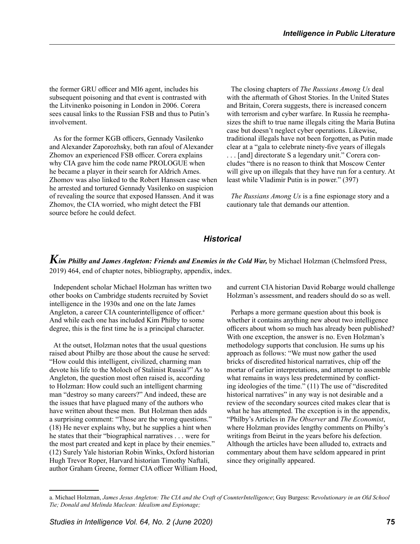the former GRU officer and MI6 agent, includes his subsequent poisoning and that event is contrasted with the Litvinenko poisoning in London in 2006. Corera sees causal links to the Russian FSB and thus to Putin's involvement.

As for the former KGB officers, Gennady Vasilenko and Alexander Zaporozhsky, both ran afoul of Alexander Zhomov an experienced FSB officer. Corera explains why CIA gave him the code name PROLOGUE when he became a player in their search for Aldrich Ames. Zhomov was also linked to the Robert Hanssen case when he arrested and tortured Gennady Vasilenko on suspicion of revealing the source that exposed Hanssen. And it was Zhomov, the CIA worried, who might detect the FBI source before he could defect.

The closing chapters of *The Russians Among Us* deal with the aftermath of Ghost Stories. In the United States and Britain, Corera suggests, there is increased concern with terrorism and cyber warfare. In Russia he reemphasizes the shift to true name illegals citing the Maria Butina case but doesn't neglect cyber operations. Likewise, traditional illegals have not been forgotten, as Putin made clear at a "gala to celebrate ninety-five years of illegals . . . [and] directorate S a legendary unit." Corera concludes "there is no reason to think that Moscow Center will give up on illegals that they have run for a century. At least while Vladimir Putin is in power." (397)

*The Russians Among Us* is a fine espionage story and a cautionary tale that demands our attention.

#### *Historical*

*Kim Philby and James Angleton: Friends and Enemies in the Cold War,* by Michael Holzman (Chelmsford Press, 2019) 464, end of chapter notes, bibliography, appendix, index.

Independent scholar Michael Holzman has written two other books on Cambridge students recruited by Soviet intelligence in the 1930s and one on the late James Angleton, a career CIA counterintelligence of officer.<sup>a</sup> And while each one has included Kim Philby to some degree, this is the first time he is a principal character.

At the outset, Holzman notes that the usual questions raised about Philby are those about the cause he served: "How could this intelligent, civilized, charming man devote his life to the Moloch of Stalinist Russia?" As to Angleton, the question most often raised is, according to Holzman: How could such an intelligent charming man "destroy so many careers?" And indeed, these are the issues that have plagued many of the authors who have written about these men. But Holzman then adds a surprising comment: "Those are the wrong questions." (18) He never explains why, but he supplies a hint when he states that their "biographical narratives . . . were for the most part created and kept in place by their enemies." (12) Surely Yale historian Robin Winks, Oxford historian Hugh Trevor Roper, Harvard historian Timothy Naftali, author Graham Greene, former CIA officer William Hood, and current CIA historian David Robarge would challenge Holzman's assessment, and readers should do so as well.

Perhaps a more germane question about this book is whether it contains anything new about two intelligence officers about whom so much has already been published? With one exception, the answer is no. Even Holzman's methodology supports that conclusion. He sums up his approach as follows: "We must now gather the used bricks of discredited historical narratives, chip off the mortar of earlier interpretations, and attempt to assemble what remains in ways less predetermined by conflicting ideologies of the time." (11) The use of "discredited historical narratives" in any way is not desirable and a review of the secondary sources cited makes clear that is what he has attempted. The exception is in the appendix, "Philby's Articles in *The Observer* and *The Economist*, where Holzman provides lengthy comments on Philby's writings from Beirut in the years before his defection. Although the articles have been alluded to, extracts and commentary about them have seldom appeared in print since they originally appeared.

a. Michael Holzman, *James Jesus Angleton: The CIA and the Craft of CounterIntelligence*; Guy Burgess: R*evolutionary in an Old School Tie; Donald and Melinda Maclean: Idealism and Espionage;*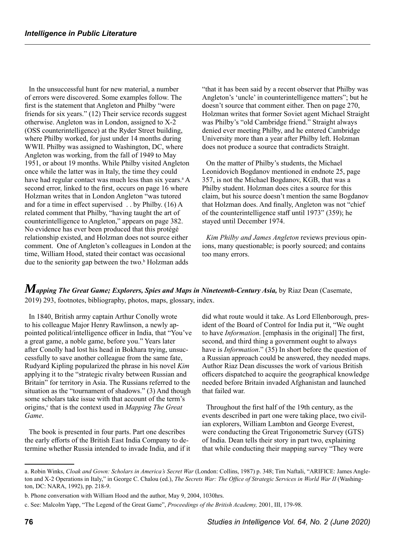In the unsuccessful hunt for new material, a number of errors were discovered. Some examples follow. The first is the statement that Angleton and Philby "were friends for six years." (12) Their service records suggest otherwise. Angleton was in London, assigned to X-2 (OSS counterintelligence) at the Ryder Street building, where Philby worked, for just under 14 months during WWII. Philby was assigned to Washington, DC, where Angleton was working, from the fall of 1949 to May 1951, or about 19 months. While Philby visited Angleton once while the latter was in Italy, the time they could have had regular contact was much less than six years.<sup>a</sup> A second error, linked to the first, occurs on page 16 where Holzman writes that in London Angleton "was tutored and for a time in effect supervised . . by Philby. (16) A related comment that Philby, "having taught the art of counterintelligence to Angleton," appears on page 382. No evidence has ever been produced that this protégé relationship existed, and Holzman does not source either comment. One of Angleton's colleagues in London at the time, William Hood, stated their contact was occasional due to the seniority gap between the two.<sup>b</sup> Holzman adds

"that it has been said by a recent observer that Philby was Angleton's 'uncle' in counterintelligence matters"; but he doesn't source that comment either. Then on page 270, Holzman writes that former Soviet agent Michael Straight was Philby's "old Cambridge friend." Straight always denied ever meeting Philby, and he entered Cambridge University more than a year after Philby left. Holzman does not produce a source that contradicts Straight.

On the matter of Philby's students, the Michael Leonidovich Bogdanov mentioned in endnote 25, page 357, is not the Michael Bogdanov, KGB, that was a Philby student. Holzman does cites a source for this claim, but his source doesn't mention the same Bogdanov that Holzman does. And finally, Angleton was not "chief of the counterintelligence staff until 1973" (359); he stayed until December 1974.

*Kim Philby and James Angleton* reviews previous opinions, many questionable; is poorly sourced; and contains too many errors.

*Mapping The Great Game; Explorers, Spies and Maps in Nineteenth-Century Asia, by Riaz Dean (Casemate,* 2019) 293, footnotes, bibliography, photos, maps, glossary, index.

In 1840, British army captain Arthur Conolly wrote to his colleague Major Henry Rawlinson, a newly appointed political/intelligence officer in India, that "You've a great game, a noble game, before you." Years later after Conolly had lost his head in Bokhara trying, unsuccessfully to save another colleague from the same fate, Rudyard Kipling popularized the phrase in his novel *Kim* applying it to the "strategic rivalry between Russian and Britain" for territory in Asia. The Russians referred to the situation as the "tournament of shadows." (3) And though some scholars take issue with that account of the term's origins,<sup>c</sup> that is the context used in *Mapping The Great Game*.

The book is presented in four parts. Part one describes the early efforts of the British East India Company to determine whether Russia intended to invade India, and if it

did what route would it take. As Lord Ellenborough, president of the Board of Control for India put it, "We ought to have *Information*. [emphasis in the original] The first, second, and third thing a government ought to always have is *Information*." (35) In short before the question of a Russian approach could be answered, they needed maps. Author Riaz Dean discusses the work of various British officers dispatched to acquire the geographical knowledge needed before Britain invaded Afghanistan and launched that failed war.

Throughout the first half of the 19th century, as the events described in part one were taking place, two civilian explorers, William Lambton and George Everest, were conducting the Great Trigonometric Survey (GTS) of India. Dean tells their story in part two, explaining that while conducting their mapping survey "They were

a. Robin Winks, *Cloak and Gown: Scholars in America's Secret War* (London: Collins, 1987) p. 348; Tim Naftali, "ARIFICE: James Angleton and X-2 Operations in Italy," in George C. Chalou (ed.), *The Secrets War: The Office of Strategic Services in World War II* (Washington, DC: NARA, 1992), pp. 218-9.

b. Phone conversation with William Hood and the author, May 9, 2004, 1030hrs.

c. See: Malcolm Yapp, "The Legend of the Great Game", *Proceedings of the British Academy,* 2001, III, 179-98.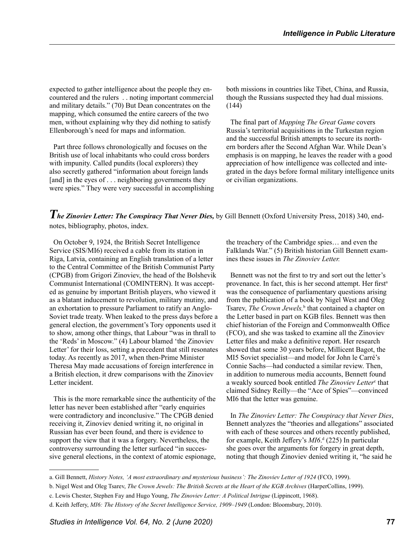expected to gather intelligence about the people they encountered and the rulers . . noting important commercial and military details." (70) But Dean concentrates on the mapping, which consumed the entire careers of the two men, without explaining why they did nothing to satisfy Ellenborough's need for maps and information.

Part three follows chronologically and focuses on the British use of local inhabitants who could cross borders with impunity. Called pundits (local explorers) they also secretly gathered "information about foreign lands [and] in the eyes of . . . neighboring governments they were spies." They were very successful in accomplishing both missions in countries like Tibet, China, and Russia, though the Russians suspected they had dual missions. (144)

The final part of *Mapping The Great Game* covers Russia's territorial acquisitions in the Turkestan region and the successful British attempts to secure its northern borders after the Second Afghan War. While Dean's emphasis is on mapping, he leaves the reader with a good appreciation of how intelligence was collected and integrated in the days before formal military intelligence units or civilian organizations.

*The Zinoviev Letter: The Conspiracy That Never Dies,* by Gill Bennett (Oxford University Press, 2018) 340, endnotes, bibliography, photos, index.

On October 9, 1924, the British Secret Intelligence Service (SIS/MI6) received a cable from its station in Riga, Latvia, containing an English translation of a letter to the Central Committee of the British Communist Party (CPGB) from Grigori Zinoviev, the head of the Bolshevik Communist International (COMINTERN). It was accepted as genuine by important British players, who viewed it as a blatant inducement to revolution, military mutiny, and an exhortation to pressure Parliament to ratify an Anglo-Soviet trade treaty. When leaked to the press days before a general election, the government's Tory opponents used it to show, among other things, that Labour "was in thrall to the 'Reds' in Moscow." (4) Labour blamed 'the Zinoviev Letter' for their loss, setting a precedent that still resonates today. As recently as 2017, when then-Prime Minister Theresa May made accusations of foreign interference in a British election, it drew comparisons with the Zinoviev Letter incident.

This is the more remarkable since the authenticity of the letter has never been established after "early enquiries were contradictory and inconclusive." The CPGB denied receiving it, Zinoviev denied writing it, no original in Russian has ever been found, and there is evidence to support the view that it was a forgery. Nevertheless, the controversy surrounding the letter surfaced "in successive general elections, in the context of atomic espionage, the treachery of the Cambridge spies… and even the Falklands War." (5) British historian Gill Bennett examines these issues in *The Zinoviev Letter.*

Bennett was not the first to try and sort out the letter's provenance. In fact, this is her second attempt. Her first<sup>a</sup> was the consequence of parliamentary questions arising from the publication of a book by Nigel West and Oleg Tsarev, *The Crown Jewels*,<sup>b</sup> that contained a chapter on the Letter based in part on KGB files. Bennett was then chief historian of the Foreign and Commonwealth Office (FCO), and she was tasked to examine all the Zinoviev Letter files and make a definitive report. Her research showed that some 30 years before, Millicent Bagot, the MI5 Soviet specialist—and model for John le Carré's Connie Sachs—had conducted a similar review. Then, in addition to numerous media accounts, Bennett found a weakly sourced book entitled *The Zinoviev Letter*<sup>c</sup> that claimed Sidney Reilly—the "Ace of Spies"—convinced MI6 that the letter was genuine.

In *The Zinoviev Letter: The Conspiracy that Never Dies*, Bennett analyzes the "theories and allegations" associated with each of these sources and others recently published, for example, Keith Jeffery's *MI6*. d (225) In particular she goes over the arguments for forgery in great depth, noting that though Zinoviev denied writing it, "he said he

a. Gill Bennett, *History Notes, 'A most extraordinary and mysterious business': The Zinoviev Letter of 1924* (FCO, 1999).

b. Nigel West and Oleg Tsarev, *The Crown Jewels: The British Secrets at the Heart of the KGB Archives* (HarperCollins, 1999).

c. Lewis Chester, Stephen Fay and Hugo Young, *The Zinoviev Letter: A Political Intrigue* (Lippincott, 1968).

d. Keith Jeffery, *MI6: The History of the Secret Intelligence Service, 1909–1949* (London: Bloomsbury, 2010).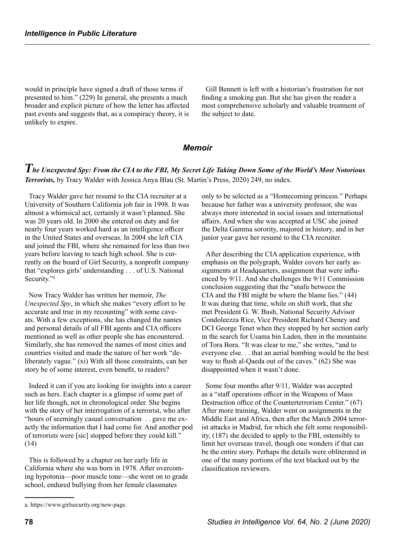would in principle have signed a draft of those terms if presented to him." (229) In general, she presents a much broader and explicit picture of how the letter has affected past events and suggests that, as a conspiracy theory, it is unlikely to expire.

Gill Bennett is left with a historian's frustration for not finding a smoking gun. But she has given the reader a most comprehensive scholarly and valuable treatment of the subject to date.

#### *Memoir*

# *The Unexpected Spy: From the CIA to the FBI, My Secret Life Taking Down Some of the World's Most Notorious Terrorists,* by Tracy Walder with Jessica Anya Blau (St. Martin's Press, 2020) 249, no index.

Tracy Walder gave her resumé to the CIA recruiter at a University of Southern California job fair in 1998. It was almost a whimsical act, certainly it wasn't planned. She was 20 years old. In 2000 she entered on duty and for nearly four years worked hard as an intelligence officer in the United States and overseas. In 2004 she left CIA and joined the FBI, where she remained for less than two years before leaving to teach high school. She is currently on the board of Girl Security, a nonprofit company that "explores girls' understanding . . . of U.S. National Security."<sup>a</sup>

Now Tracy Walder has written her memoir, *The Unexpected Spy*, in which she makes "every effort to be accurate and true in my recounting" with some caveats. With a few exceptions, she has changed the names and personal details of all FBI agents and CIA officers mentioned as well as other people she has encountered. Similarly, she has removed the names of most cities and countries visited and made the nature of her work "deliberately vague." (xi) With all those constraints, can her story be of some interest, even benefit, to readers?

Indeed it can if you are looking for insights into a career such as hers. Each chapter is a glimpse of some part of her life though, not in chronological order. She begins with the story of her interrogation of a terrorist, who after "hours of seemingly casual conversation . . gave me exactly the information that I had come for. And another pod of terrorists were [sic] stopped before they could kill." (14)

This is followed by a chapter on her early life in California where she was born in 1978. After overcoming hypotonia—poor muscle tone—she went on to grade school, endured bullying from her female classmates

only to be selected as a "Homecoming princess." Perhaps because her father was a university professor, she was always more interested in social issues and international affairs. And when she was accepted at USC she joined the Delta Gamma sorority, majored in history, and in her junior year gave her resumé to the CIA recruiter.

After describing the CIA application experience, with emphasis on the polygraph, Walder covers her early assignments at Headquarters, assignment that were influenced by 9/11. And she challenges the 9/11 Commission conclusion suggesting that the "snafu between the CIA and the FBI might be where the blame lies." (44) It was during that time, while on shift work, that she met President G. W. Bush, National Security Advisor Condoleezza Rice, Vice President Richard Cheney and DCI George Tenet when they stopped by her section early in the search for Usama bin Laden, then in the mountains of Tora Bora. "It was clear to me," she writes, "and to everyone else. . . that an aerial bombing would be the best way to flush al-Qaeda out of the caves." (62) She was disappointed when it wasn't done.

Some four months after 9/11, Walder was accepted as a "staff operations officer in the Weapons of Mass Destruction office of the Counterterrorism Center." (67) After more training, Walder went on assignments in the Middle East and Africa, then after the March 2004 terrorist attacks in Madrid, for which she felt some responsibility, (187) she decided to apply to the FBI, ostensibly to limit her overseas travel, though one wonders if that can be the entire story. Perhaps the details were obliterated in one of the many portions of the text blacked out by the classification reviewers.

a. https://www.girlsecurity.org/new-page.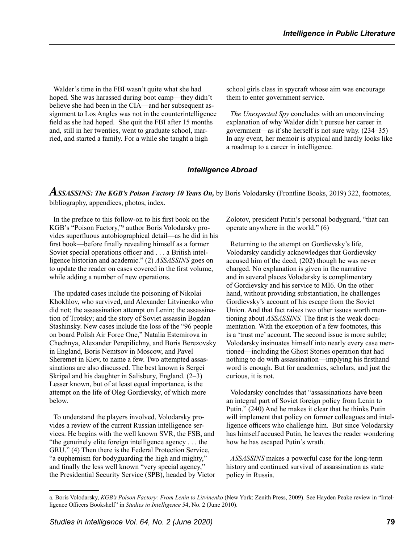Walder's time in the FBI wasn't quite what she had hoped. She was harassed during boot camp—they didn't believe she had been in the CIA—and her subsequent assignment to Los Angles was not in the counterintelligence field as she had hoped. She quit the FBI after 15 months and, still in her twenties, went to graduate school, married, and started a family. For a while she taught a high

school girls class in spycraft whose aim was encourage them to enter government service.

*The Unexpected Spy* concludes with an unconvincing explanation of why Walder didn't pursue her career in government—as if she herself is not sure why. (234–35) In any event, her memoir is atypical and hardly looks like a roadmap to a career in intelligence.

#### *Intelligence Abroad*

*ASSASSINS: The KGB's Poison Factory 10 Years On,* by Boris Volodarsky (Frontline Books, 2019) 322, footnotes, bibliography, appendices, photos, index.

In the preface to this follow-on to his first book on the KGB's "Poison Factory,"<sup>a</sup> author Boris Volodarsky provides superfluous autobiographical detail—as he did in his first book—before finally revealing himself as a former Soviet special operations officer and . . . a British intelligence historian and academic." (2) *ASSASSINS* goes on to update the reader on cases covered in the first volume, while adding a number of new operations.

The updated cases include the poisoning of Nikolai Khokhlov, who survived, and Alexander Litvinenko who did not; the assassination attempt on Lenin; the assassination of Trotsky; and the story of Soviet assassin Bogdan Stashinsky. New cases include the loss of the "96 people on board Polish Air Force One," Natalia Estemirova in Chechnya, Alexander Perepilichny, and Boris Berezovsky in England, Boris Nemtsov in Moscow, and Pavel Sheremet in Kiev, to name a few. Two attempted assassinations are also discussed. The best known is Sergei Skripal and his daughter in Salisbury, England. (2–3) Lesser known, but of at least equal importance, is the attempt on the life of Oleg Gordievsky, of which more below.

To understand the players involved, Volodarsky provides a review of the current Russian intelligence services. He begins with the well known SVR, the FSB, and "the genuinely elite foreign intelligence agency . . . the GRU." (4) Then there is the Federal Protection Service, "a euphemism for bodyguarding the high and mighty," and finally the less well known "very special agency," the Presidential Security Service (SPB), headed by Victor Zolotov, president Putin's personal bodyguard, "that can operate anywhere in the world." (6)

Returning to the attempt on Gordievsky's life, Volodarsky candidly acknowledges that Gordievsky accused him of the deed, (202) though he was never charged. No explanation is given in the narrative and in several places Volodarsky is complimentary of Gordievsky and his service to MI6. On the other hand, without providing substantiation, he challenges Gordievsky's account of his escape from the Soviet Union. And that fact raises two other issues worth mentioning about *ASSASSINS.* The first is the weak documentation. With the exception of a few footnotes, this is a 'trust me' account. The second issue is more subtle; Volodarsky insinuates himself into nearly every case mentioned—including the Ghost Stories operation that had nothing to do with assassination—implying his firsthand word is enough. But for academics, scholars, and just the curious, it is not.

Volodarsky concludes that "assassinations have been an integral part of Soviet foreign policy from Lenin to Putin." (240) And he makes it clear that he thinks Putin will implement that policy on former colleagues and intelligence officers who challenge him. But since Volodarsky has himself accused Putin, he leaves the reader wondering how he has escaped Putin's wrath.

*ASSASSINS* makes a powerful case for the long-term history and continued survival of assassination as state policy in Russia.

a. Boris Volodarsky, *KGB's Poison Factory: From Lenin to Litvinenko* (New York: Zenith Press, 2009). See Hayden Peake review in "Intelligence Officers Bookshelf" in *Studies in Intelligence* 54, No. 2 (June 2010).